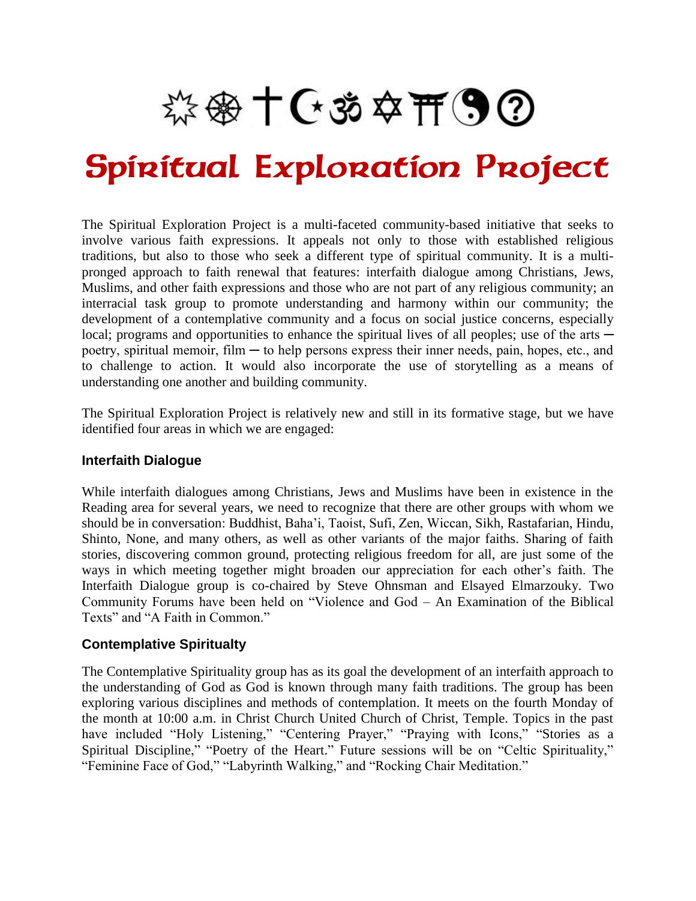※※十〇、※☆开9②

# Spiritual Exploration Project

The Spiritual Exploration Project is a multi-faceted community-based initiative that seeks to involve various faith expressions. It appeals not only to those with established religious traditions, but also to those who seek a different type of spiritual community. It is a multipronged approach to faith renewal that features: interfaith dialogue among Christians, Jews, Muslims, and other faith expressions and those who are not part of any religious community; an interracial task group to promote understanding and harmony within our community; the development of a contemplative community and a focus on social justice concerns, especially local; programs and opportunities to enhance the spiritual lives of all peoples; use of the arts poetry, spiritual memoir, film — to help persons express their inner needs, pain, hopes, etc., and to challenge to action. It would also incorporate the use of storytelling as a means of understanding one another and building community.

The Spiritual Exploration Project is relatively new and still in its formative stage, but we have identified four areas in which we are engaged:

#### **Interfaith Dialogue**

While interfaith dialogues among Christians, Jews and Muslims have been in existence in the Reading area for several years, we need to recognize that there are other groups with whom we should be in conversation: Buddhist, Baha'i, Taoist, Sufi, Zen, Wiccan, Sikh, Rastafarian, Hindu, Shinto, None, and many others, as well as other variants of the major faiths. Sharing of faith stories, discovering common ground, protecting religious freedom for all, are just some of the ways in which meeting together might broaden our appreciation for each other's faith. The Interfaith Dialogue group is co-chaired by Steve Ohnsman and Elsayed Elmarzouky. Two Community Forums have been held on "Violence and God – An Examination of the Biblical Texts" and "A Faith in Common."

# **Contemplative Spiritualty**

The Contemplative Spirituality group has as its goal the development of an interfaith approach to the understanding of God as God is known through many faith traditions. The group has been exploring various disciplines and methods of contemplation. It meets on the fourth Monday of the month at 10:00 a.m. in Christ Church United Church of Christ, Temple. Topics in the past have included "Holy Listening," "Centering Prayer," "Praying with Icons," "Stories as a Spiritual Discipline," "Poetry of the Heart." Future sessions will be on "Celtic Spirituality," "Feminine Face of God," "Labyrinth Walking," and "Rocking Chair Meditation."